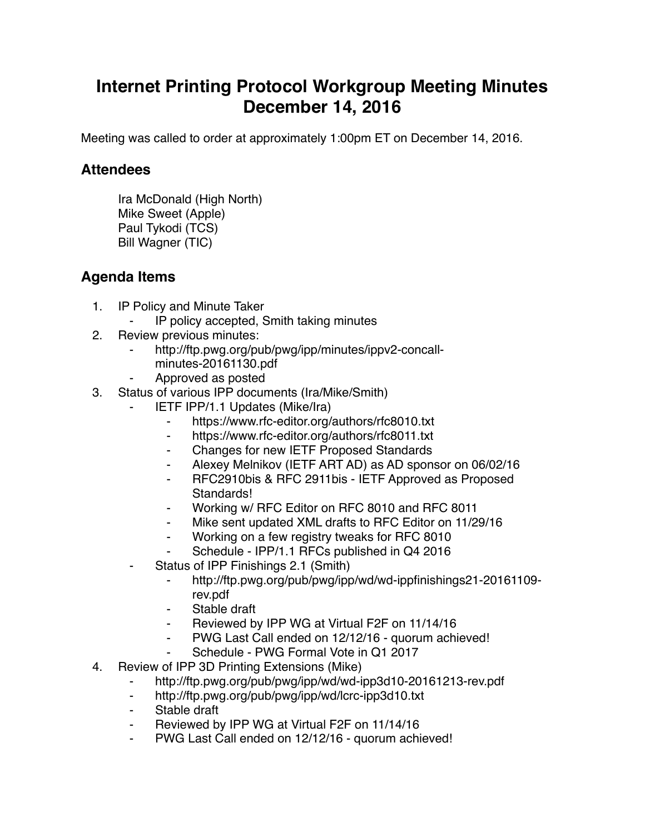## **Internet Printing Protocol Workgroup Meeting Minutes December 14, 2016**

Meeting was called to order at approximately 1:00pm ET on December 14, 2016.

## **Attendees**

Ira McDonald (High North) Mike Sweet (Apple) Paul Tykodi (TCS) Bill Wagner (TIC)

## **Agenda Items**

- 1. IP Policy and Minute Taker
	- IP policy accepted, Smith taking minutes
- 2. Review previous minutes:
	- http://ftp.pwg.org/pub/pwg/ipp/minutes/ippv2-concall
		- minutes-20161130.pdf
	- ⁃ Approved as posted
- 3. Status of various IPP documents (Ira/Mike/Smith)
	- **IETF IPP/1.1 Updates (Mike/Ira)** 
		- ⁃ https://www.rfc-editor.org/authors/rfc8010.txt
		- ⁃ https://www.rfc-editor.org/authors/rfc8011.txt
		- ⁃ Changes for new IETF Proposed Standards
		- Alexey Melnikov (IETF ART AD) as AD sponsor on 06/02/16
		- ⁃ RFC2910bis & RFC 2911bis IETF Approved as Proposed Standards!
		- Working w/ RFC Editor on RFC 8010 and RFC 8011
		- ⁃ Mike sent updated XML drafts to RFC Editor on 11/29/16
		- ⁃ Working on a few registry tweaks for RFC 8010
		- Schedule IPP/1.1 RFCs published in Q4 2016
	- Status of IPP Finishings 2.1 (Smith)
		- ⁃ http://ftp.pwg.org/pub/pwg/ipp/wd/wd-ippfinishings21-20161109 rev.pdf
		- Stable draft
		- ⁃ Reviewed by IPP WG at Virtual F2F on 11/14/16
		- PWG Last Call ended on 12/12/16 quorum achieved!
		- Schedule PWG Formal Vote in Q1 2017
- 4. Review of IPP 3D Printing Extensions (Mike)
	- ⁃ http://ftp.pwg.org/pub/pwg/ipp/wd/wd-ipp3d10-20161213-rev.pdf
	- ⁃ http://ftp.pwg.org/pub/pwg/ipp/wd/lcrc-ipp3d10.txt
	- Stable draft
	- Reviewed by IPP WG at Virtual F2F on 11/14/16
	- PWG Last Call ended on 12/12/16 quorum achieved!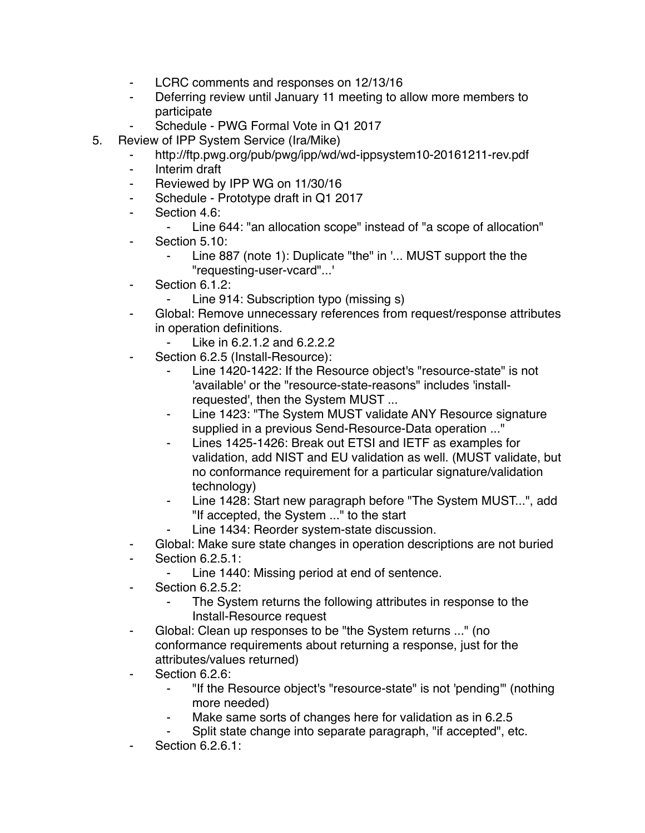- ⁃ LCRC comments and responses on 12/13/16
- ⁃ Deferring review until January 11 meeting to allow more members to participate
- Schedule PWG Formal Vote in Q1 2017
- 5. Review of IPP System Service (Ira/Mike)
	- http://ftp.pwg.org/pub/pwg/ipp/wd/wd-ippsystem10-20161211-rev.pdf
	- ⁃ Interim draft
	- ⁃ Reviewed by IPP WG on 11/30/16
	- ⁃ Schedule Prototype draft in Q1 2017
	- ⁃ Section 4.6:
		- ⁃ Line 644: "an allocation scope" instead of "a scope of allocation"
	- ⁃ Section 5.10:
		- Line 887 (note 1): Duplicate "the" in '... MUST support the the "requesting-user-vcard"...'
	- ⁃ Section 6.1.2:
		- Line 914: Subscription typo (missing s)
	- Global: Remove unnecessary references from request/response attributes in operation definitions.
		- ⁃ Like in 6.2.1.2 and 6.2.2.2
	- ⁃ Section 6.2.5 (Install-Resource):
		- Line 1420-1422: If the Resource object's "resource-state" is not 'available' or the "resource-state-reasons" includes 'installrequested', then the System MUST ...
		- Line 1423: "The System MUST validate ANY Resource signature supplied in a previous Send-Resource-Data operation ..."
		- Lines 1425-1426: Break out ETSI and IETF as examples for validation, add NIST and EU validation as well. (MUST validate, but no conformance requirement for a particular signature/validation technology)
		- ⁃ Line 1428: Start new paragraph before "The System MUST...", add "If accepted, the System ..." to the start
		- Line 1434: Reorder system-state discussion.
	- Global: Make sure state changes in operation descriptions are not buried
	- **Section 6.2.5.1:** 
		- Line 1440: Missing period at end of sentence.
	- **Section 6.2.5.2:** 
		- The System returns the following attributes in response to the Install-Resource request
	- Global: Clean up responses to be "the System returns ..." (no conformance requirements about returning a response, just for the attributes/values returned)
	- ⁃ Section 6.2.6:
		- ⁃ "If the Resource object's "resource-state" is not 'pending'" (nothing more needed)
		- Make same sorts of changes here for validation as in 6.2.5
		- Split state change into separate paragraph, "if accepted", etc.
	- **Section 6.2.6.1:**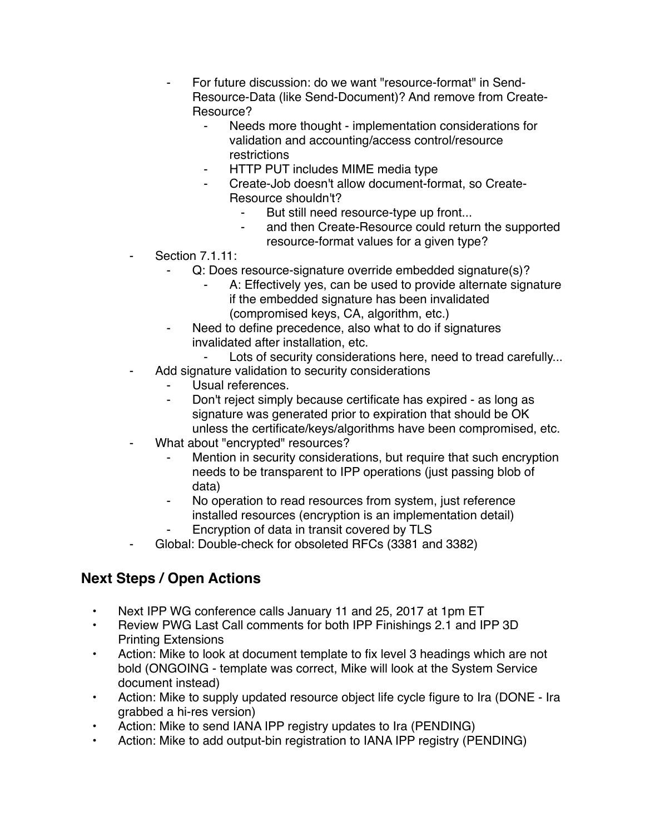- For future discussion: do we want "resource-format" in Send-Resource-Data (like Send-Document)? And remove from Create-Resource?
	- ⁃ Needs more thought implementation considerations for validation and accounting/access control/resource restrictions
	- **HTTP PUT includes MIME media type**
	- ⁃ Create-Job doesn't allow document-format, so Create-Resource shouldn't?
		- But still need resource-type up front...
		- ⁃ and then Create-Resource could return the supported resource-format values for a given type?
- **Section 7.1.11:** 
	- Q: Does resource-signature override embedded signature(s)?
		- A: Effectively yes, can be used to provide alternate signature if the embedded signature has been invalidated (compromised keys, CA, algorithm, etc.)
	- Need to define precedence, also what to do if signatures invalidated after installation, etc.
		- Lots of security considerations here, need to tread carefully...
- Add signature validation to security considerations
	- Usual references.
	- Don't reject simply because certificate has expired as long as signature was generated prior to expiration that should be OK unless the certificate/keys/algorithms have been compromised, etc.
- What about "encrypted" resources?
	- ⁃ Mention in security considerations, but require that such encryption needs to be transparent to IPP operations (just passing blob of data)
	- No operation to read resources from system, just reference installed resources (encryption is an implementation detail)
	- Encryption of data in transit covered by TLS
- Global: Double-check for obsoleted RFCs (3381 and 3382)

## **Next Steps / Open Actions**

- Next IPP WG conference calls January 11 and 25, 2017 at 1pm ET
- Review PWG Last Call comments for both IPP Finishings 2.1 and IPP 3D Printing Extensions
- Action: Mike to look at document template to fix level 3 headings which are not bold (ONGOING - template was correct, Mike will look at the System Service document instead)
- Action: Mike to supply updated resource object life cycle figure to Ira (DONE Ira grabbed a hi-res version)
- Action: Mike to send IANA IPP registry updates to Ira (PENDING)
- Action: Mike to add output-bin registration to IANA IPP registry (PENDING)